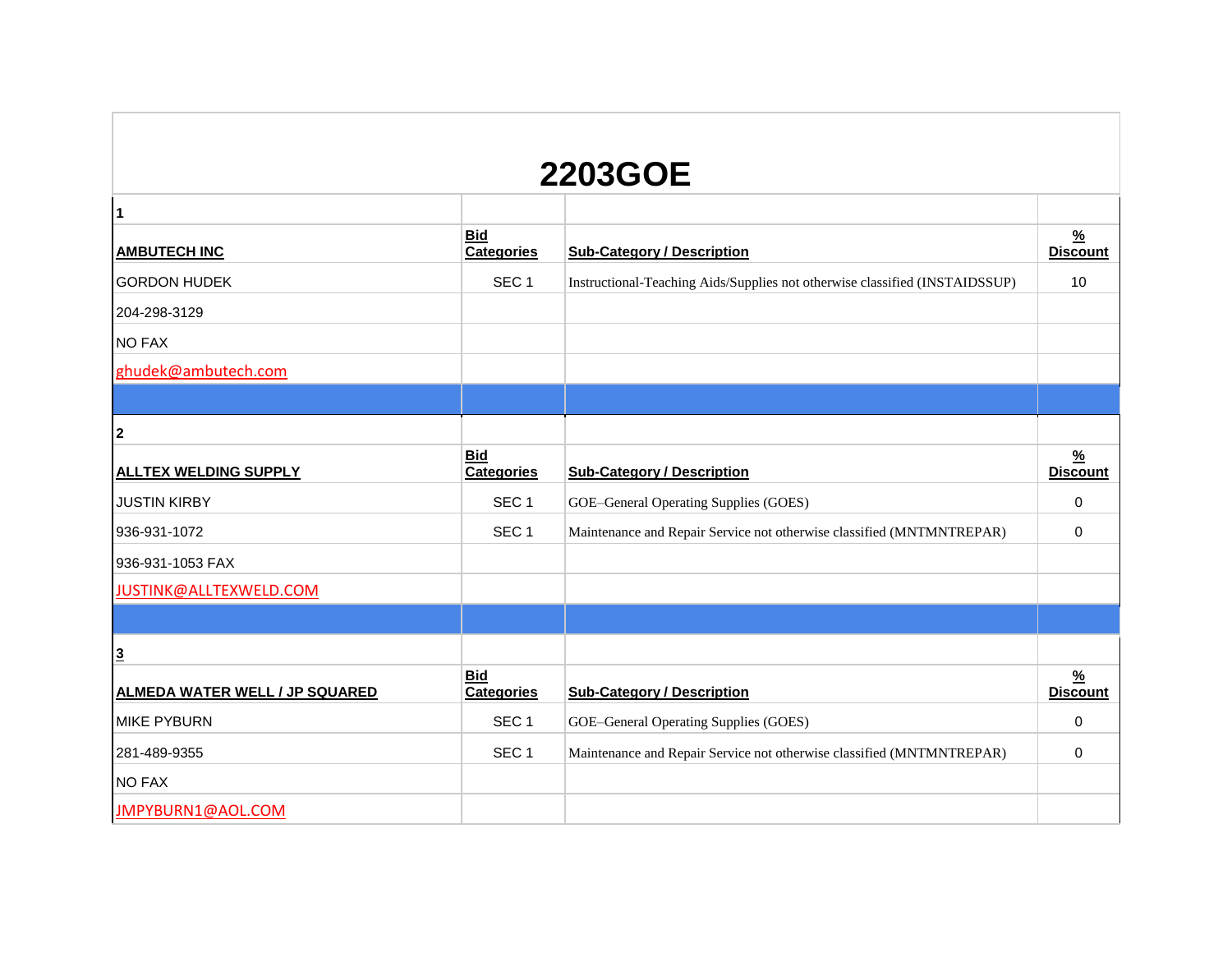| <b>2203GOE</b>                        |                                 |                                                                             |                                  |  |  |  |
|---------------------------------------|---------------------------------|-----------------------------------------------------------------------------|----------------------------------|--|--|--|
| 1                                     |                                 |                                                                             |                                  |  |  |  |
| <b>AMBUTECH INC</b>                   | <b>Bid</b><br><b>Categories</b> | <b>Sub-Category / Description</b>                                           | $\frac{9}{6}$<br><b>Discount</b> |  |  |  |
| <b>GORDON HUDEK</b>                   | SEC <sub>1</sub>                | Instructional-Teaching Aids/Supplies not otherwise classified (INSTAIDSSUP) | 10                               |  |  |  |
| 204-298-3129                          |                                 |                                                                             |                                  |  |  |  |
| <b>NO FAX</b>                         |                                 |                                                                             |                                  |  |  |  |
| ghudek@ambutech.com                   |                                 |                                                                             |                                  |  |  |  |
|                                       |                                 |                                                                             |                                  |  |  |  |
| $\mathbf{2}$                          |                                 |                                                                             |                                  |  |  |  |
| <b>ALLTEX WELDING SUPPLY</b>          | <b>Bid</b><br><b>Categories</b> | <b>Sub-Category / Description</b>                                           | $\frac{9}{6}$<br><b>Discount</b> |  |  |  |
| <b>JUSTIN KIRBY</b>                   | SEC <sub>1</sub>                | GOE-General Operating Supplies (GOES)                                       | $\mathbf 0$                      |  |  |  |
| 936-931-1072                          | SEC <sub>1</sub>                | Maintenance and Repair Service not otherwise classified (MNTMNTREPAR)       | 0                                |  |  |  |
| 936-931-1053 FAX                      |                                 |                                                                             |                                  |  |  |  |
| JUSTINK@ALLTEXWELD.COM                |                                 |                                                                             |                                  |  |  |  |
|                                       |                                 |                                                                             |                                  |  |  |  |
| $\overline{3}$                        |                                 |                                                                             |                                  |  |  |  |
| <b>ALMEDA WATER WELL / JP SQUARED</b> | <b>Bid</b><br><b>Categories</b> | <b>Sub-Category / Description</b>                                           | $\frac{9}{6}$<br><b>Discount</b> |  |  |  |
| <b>MIKE PYBURN</b>                    | SEC <sub>1</sub>                | GOE-General Operating Supplies (GOES)                                       | 0                                |  |  |  |
| 281-489-9355                          | SEC <sub>1</sub>                | Maintenance and Repair Service not otherwise classified (MNTMNTREPAR)       | 0                                |  |  |  |
| <b>NO FAX</b>                         |                                 |                                                                             |                                  |  |  |  |
| JMPYBURN1@AOL.COM                     |                                 |                                                                             |                                  |  |  |  |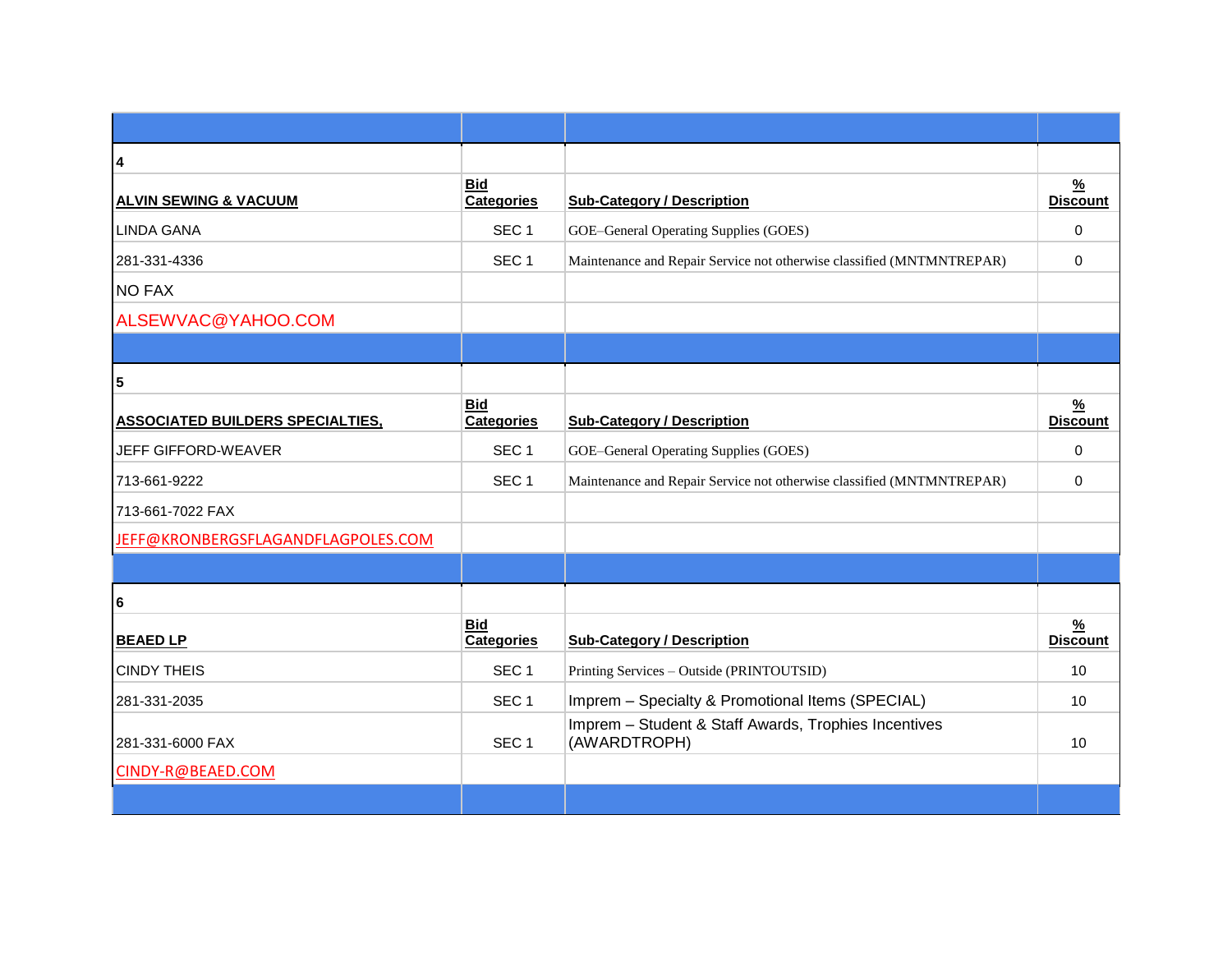| 4                                       |                                 |                                                                       |                                  |
|-----------------------------------------|---------------------------------|-----------------------------------------------------------------------|----------------------------------|
| <b>ALVIN SEWING &amp; VACUUM</b>        | <b>Bid</b><br>Categories        | <b>Sub-Category / Description</b>                                     | $\frac{9}{6}$<br><b>Discount</b> |
| <b>LINDA GANA</b>                       | SEC <sub>1</sub>                | GOE-General Operating Supplies (GOES)                                 | $\Omega$                         |
| 281-331-4336                            | SEC <sub>1</sub>                | Maintenance and Repair Service not otherwise classified (MNTMNTREPAR) | $\Omega$                         |
| <b>NO FAX</b>                           |                                 |                                                                       |                                  |
| ALSEWVAC@YAHOO.COM                      |                                 |                                                                       |                                  |
|                                         |                                 |                                                                       |                                  |
| 5                                       |                                 |                                                                       |                                  |
| <b>ASSOCIATED BUILDERS SPECIALTIES,</b> | <b>Bid</b><br><b>Categories</b> | <b>Sub-Category / Description</b>                                     | $\frac{9}{6}$<br><b>Discount</b> |
| JEFF GIFFORD-WEAVER                     | SEC <sub>1</sub>                | GOE-General Operating Supplies (GOES)                                 | $\Omega$                         |
| 713-661-9222                            | SEC <sub>1</sub>                | Maintenance and Repair Service not otherwise classified (MNTMNTREPAR) | 0                                |
| 713-661-7022 FAX                        |                                 |                                                                       |                                  |
| JEFF@KRONBERGSFLAGANDFLAGPOLES.COM      |                                 |                                                                       |                                  |
|                                         |                                 |                                                                       |                                  |
| 6                                       |                                 |                                                                       |                                  |
| <b>BEAED LP</b>                         | <b>Bid</b><br><b>Categories</b> | <b>Sub-Category / Description</b>                                     | $\frac{9}{6}$<br><b>Discount</b> |
| <b>CINDY THEIS</b>                      | SEC <sub>1</sub>                | Printing Services - Outside (PRINTOUTSID)                             | 10                               |
| 281-331-2035                            | SEC <sub>1</sub>                | Imprem - Specialty & Promotional Items (SPECIAL)                      | 10                               |
| 281-331-6000 FAX                        | SEC <sub>1</sub>                | Imprem - Student & Staff Awards, Trophies Incentives<br>(AWARDTROPH)  | 10                               |
| CINDY-R@BEAED.COM                       |                                 |                                                                       |                                  |
|                                         |                                 |                                                                       |                                  |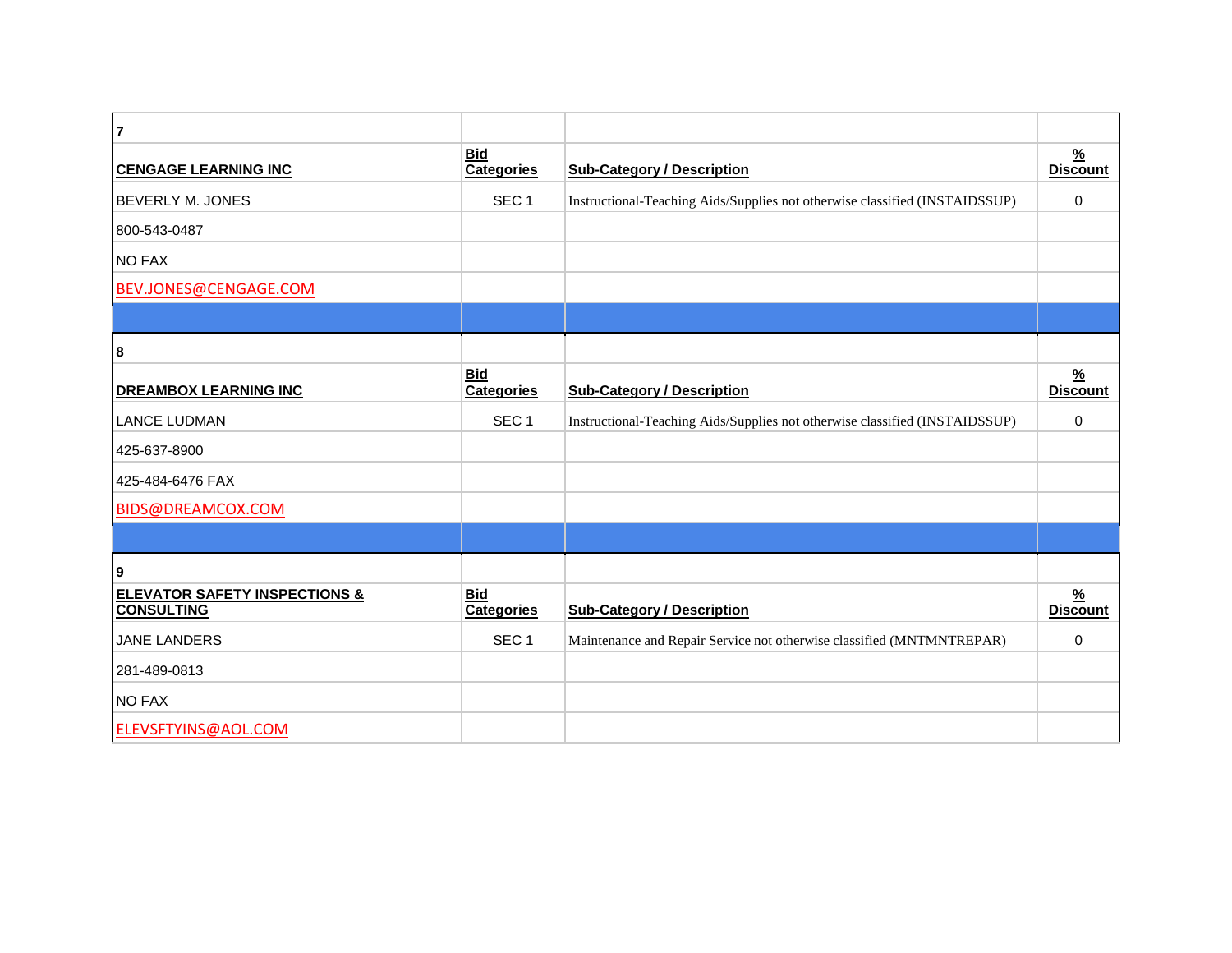| $\overline{7}$                                                |                                 |                                                                             |                                  |
|---------------------------------------------------------------|---------------------------------|-----------------------------------------------------------------------------|----------------------------------|
| <b>CENGAGE LEARNING INC</b>                                   | <b>Bid</b><br><b>Categories</b> | <b>Sub-Category / Description</b>                                           | $\frac{9}{6}$<br><b>Discount</b> |
| <b>BEVERLY M. JONES</b>                                       | SEC <sub>1</sub>                | Instructional-Teaching Aids/Supplies not otherwise classified (INSTAIDSSUP) | $\Omega$                         |
| 800-543-0487                                                  |                                 |                                                                             |                                  |
| <b>NO FAX</b>                                                 |                                 |                                                                             |                                  |
| BEV.JONES@CENGAGE.COM                                         |                                 |                                                                             |                                  |
|                                                               |                                 |                                                                             |                                  |
| 8                                                             |                                 |                                                                             |                                  |
| <b>DREAMBOX LEARNING INC</b>                                  | <b>Bid</b><br><b>Categories</b> | <b>Sub-Category / Description</b>                                           | $\frac{9}{6}$<br><b>Discount</b> |
| <b>LANCE LUDMAN</b>                                           | SEC <sub>1</sub>                | Instructional-Teaching Aids/Supplies not otherwise classified (INSTAIDSSUP) | $\Omega$                         |
| 425-637-8900                                                  |                                 |                                                                             |                                  |
| 425-484-6476 FAX                                              |                                 |                                                                             |                                  |
| BIDS@DREAMCOX.COM                                             |                                 |                                                                             |                                  |
|                                                               |                                 |                                                                             |                                  |
| 9                                                             |                                 |                                                                             |                                  |
| <b>ELEVATOR SAFETY INSPECTIONS &amp;</b><br><b>CONSULTING</b> | <b>Bid</b><br><b>Categories</b> | <b>Sub-Category / Description</b>                                           | $\frac{9}{6}$<br><b>Discount</b> |
| JANE LANDERS                                                  | SEC <sub>1</sub>                | Maintenance and Repair Service not otherwise classified (MNTMNTREPAR)       | $\Omega$                         |
| 281-489-0813                                                  |                                 |                                                                             |                                  |
| <b>NO FAX</b>                                                 |                                 |                                                                             |                                  |
| ELEVSFTYINS@AOL.COM                                           |                                 |                                                                             |                                  |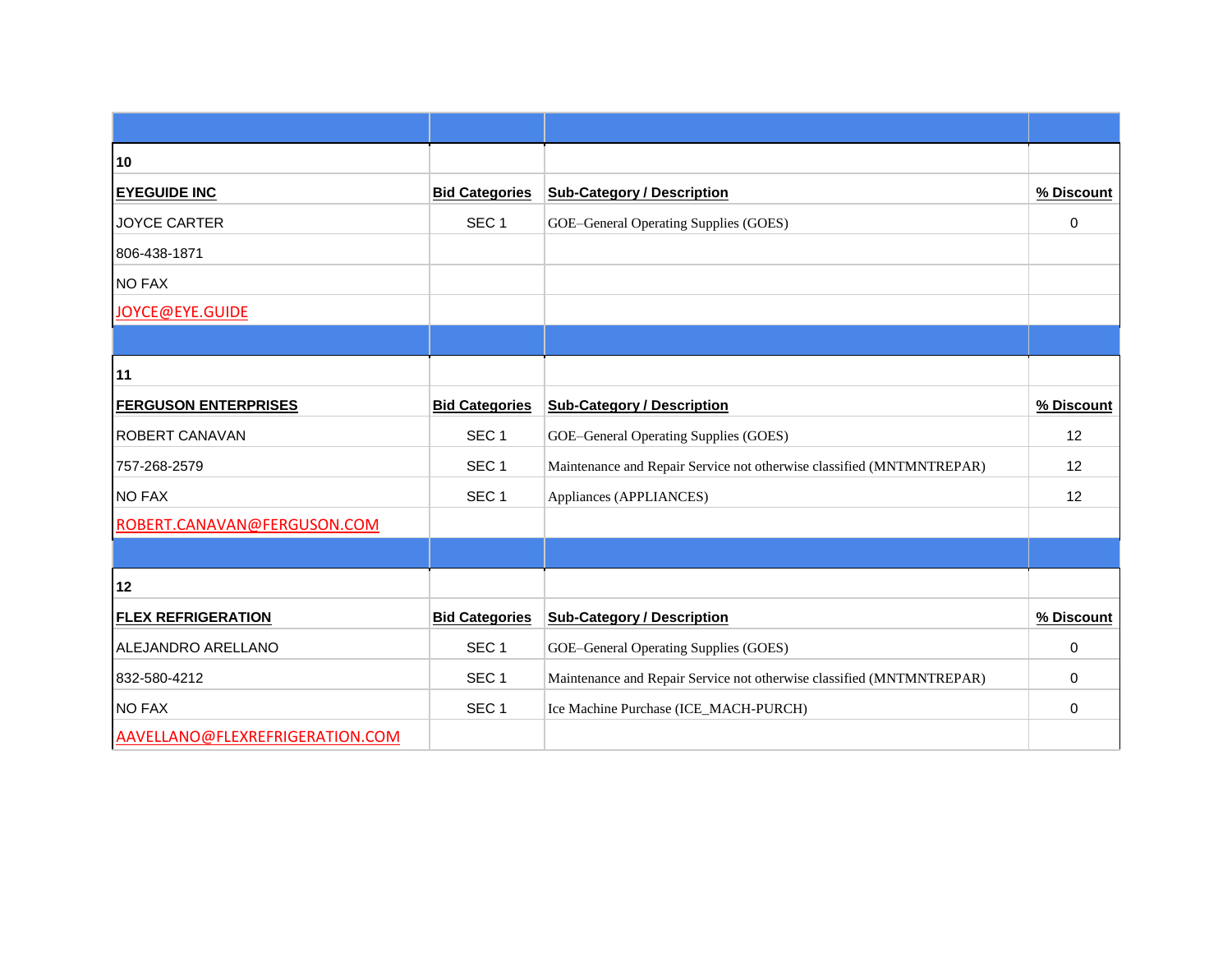| 10                              |                       |                                                                       |             |  |
|---------------------------------|-----------------------|-----------------------------------------------------------------------|-------------|--|
| <b>EYEGUIDE INC</b>             | <b>Bid Categories</b> | <b>Sub-Category / Description</b>                                     | % Discount  |  |
| <b>JOYCE CARTER</b>             | SEC <sub>1</sub>      | GOE-General Operating Supplies (GOES)                                 | 0           |  |
| 806-438-1871                    |                       |                                                                       |             |  |
| <b>NO FAX</b>                   |                       |                                                                       |             |  |
| JOYCE@EYE.GUIDE                 |                       |                                                                       |             |  |
|                                 |                       |                                                                       |             |  |
| 11                              |                       |                                                                       |             |  |
| <b>FERGUSON ENTERPRISES</b>     | <b>Bid Categories</b> | <b>Sub-Category / Description</b>                                     | % Discount  |  |
| ROBERT CANAVAN                  | SEC <sub>1</sub>      | GOE-General Operating Supplies (GOES)                                 | 12          |  |
| 757-268-2579                    | SEC <sub>1</sub>      | Maintenance and Repair Service not otherwise classified (MNTMNTREPAR) | 12          |  |
| <b>NO FAX</b>                   | SEC <sub>1</sub>      | Appliances (APPLIANCES)                                               | 12          |  |
| ROBERT.CANAVAN@FERGUSON.COM     |                       |                                                                       |             |  |
|                                 |                       |                                                                       |             |  |
| 12                              |                       |                                                                       |             |  |
| <b>FLEX REFRIGERATION</b>       | <b>Bid Categories</b> | <b>Sub-Category / Description</b>                                     | % Discount  |  |
| ALEJANDRO ARELLANO              | SEC <sub>1</sub>      | GOE-General Operating Supplies (GOES)                                 | $\mathbf 0$ |  |
| 832-580-4212                    | SEC <sub>1</sub>      | Maintenance and Repair Service not otherwise classified (MNTMNTREPAR) | $\mathbf 0$ |  |
| <b>NO FAX</b>                   | SEC <sub>1</sub>      | Ice Machine Purchase (ICE_MACH-PURCH)                                 | $\mathbf 0$ |  |
| AAVELLANO@FLEXREFRIGERATION.COM |                       |                                                                       |             |  |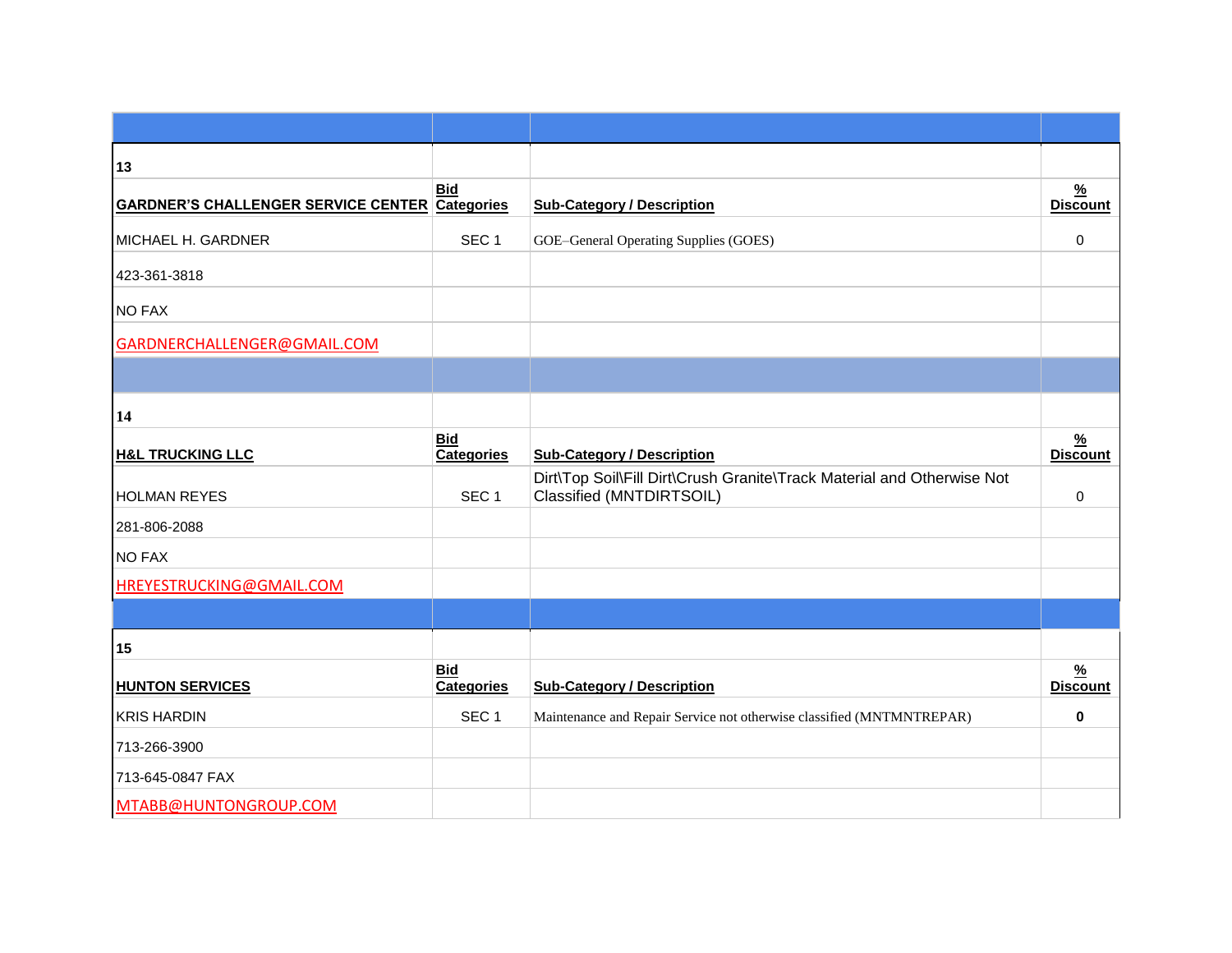| 13                                                    |                                 |                                                                                                    |                                  |
|-------------------------------------------------------|---------------------------------|----------------------------------------------------------------------------------------------------|----------------------------------|
| <b>GARDNER'S CHALLENGER SERVICE CENTER Categories</b> | <b>Bid</b>                      | <b>Sub-Category / Description</b>                                                                  | $\frac{9}{6}$<br><b>Discount</b> |
| MICHAEL H. GARDNER                                    | SEC <sub>1</sub>                | GOE-General Operating Supplies (GOES)                                                              | $\Omega$                         |
| 423-361-3818                                          |                                 |                                                                                                    |                                  |
| <b>NO FAX</b>                                         |                                 |                                                                                                    |                                  |
| GARDNERCHALLENGER@GMAIL.COM                           |                                 |                                                                                                    |                                  |
|                                                       |                                 |                                                                                                    |                                  |
| 14                                                    |                                 |                                                                                                    |                                  |
| <b>H&amp;L TRUCKING LLC</b>                           | <b>Bid</b><br><b>Categories</b> | <b>Sub-Category / Description</b>                                                                  | $\frac{9}{6}$<br><b>Discount</b> |
| <b>HOLMAN REYES</b>                                   | SEC <sub>1</sub>                | Dirt\Top Soil\Fill Dirt\Crush Granite\Track Material and Otherwise Not<br>Classified (MNTDIRTSOIL) | 0                                |
| 281-806-2088                                          |                                 |                                                                                                    |                                  |
| <b>NO FAX</b>                                         |                                 |                                                                                                    |                                  |
| HREYESTRUCKING@GMAIL.COM                              |                                 |                                                                                                    |                                  |
|                                                       |                                 |                                                                                                    |                                  |
| 15                                                    |                                 |                                                                                                    |                                  |
| <b>HUNTON SERVICES</b>                                | <b>Bid</b><br><b>Categories</b> | <b>Sub-Category / Description</b>                                                                  | $\frac{9}{6}$<br><b>Discount</b> |
| <b>KRIS HARDIN</b>                                    | SEC <sub>1</sub>                | Maintenance and Repair Service not otherwise classified (MNTMNTREPAR)                              | $\bf{0}$                         |
| 713-266-3900                                          |                                 |                                                                                                    |                                  |
| 713-645-0847 FAX                                      |                                 |                                                                                                    |                                  |
| MTABB@HUNTONGROUP.COM                                 |                                 |                                                                                                    |                                  |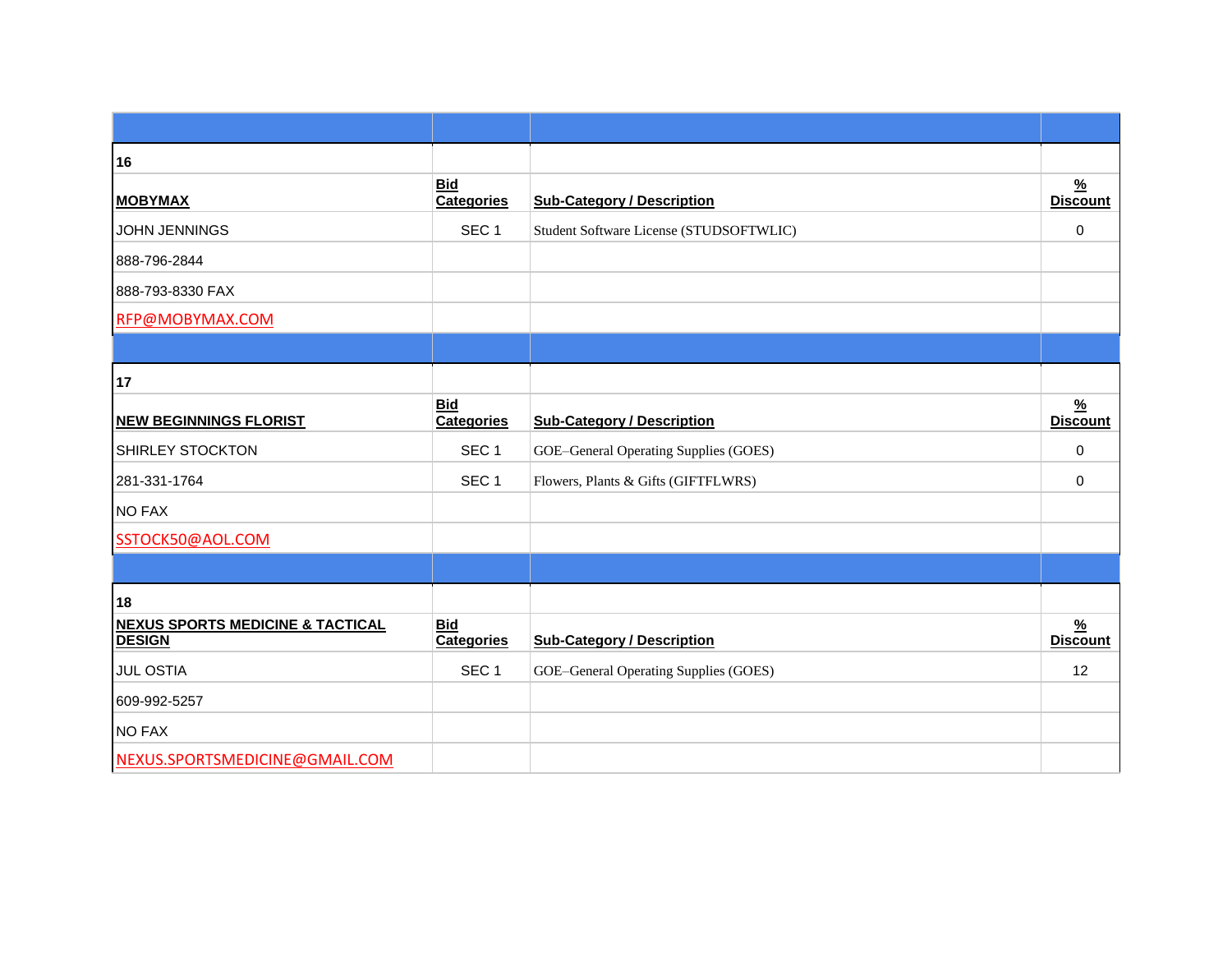| 16                                                           |                                 |                                         |                                  |
|--------------------------------------------------------------|---------------------------------|-----------------------------------------|----------------------------------|
| <b>MOBYMAX</b>                                               | <b>Bid</b><br><b>Categories</b> | <b>Sub-Category / Description</b>       | $\frac{9}{6}$<br><b>Discount</b> |
| <b>JOHN JENNINGS</b>                                         | SEC <sub>1</sub>                | Student Software License (STUDSOFTWLIC) | $\mathbf 0$                      |
| 888-796-2844                                                 |                                 |                                         |                                  |
| 888-793-8330 FAX                                             |                                 |                                         |                                  |
| RFP@MOBYMAX.COM                                              |                                 |                                         |                                  |
|                                                              |                                 |                                         |                                  |
| 17                                                           |                                 |                                         |                                  |
| <b>NEW BEGINNINGS FLORIST</b>                                | <b>Bid</b><br><b>Categories</b> | <b>Sub-Category / Description</b>       | $\frac{9}{6}$<br><b>Discount</b> |
| SHIRLEY STOCKTON                                             | SEC <sub>1</sub>                | GOE-General Operating Supplies (GOES)   | $\mathbf 0$                      |
| 281-331-1764                                                 | SEC <sub>1</sub>                | Flowers, Plants & Gifts (GIFTFLWRS)     | $\Omega$                         |
| <b>NO FAX</b>                                                |                                 |                                         |                                  |
| SSTOCK50@AOL.COM                                             |                                 |                                         |                                  |
|                                                              |                                 |                                         |                                  |
| 18                                                           |                                 |                                         |                                  |
| <b>NEXUS SPORTS MEDICINE &amp; TACTICAL</b><br><b>DESIGN</b> | <b>Bid</b><br><b>Categories</b> | <b>Sub-Category / Description</b>       | $\frac{9}{6}$<br><b>Discount</b> |
| <b>JUL OSTIA</b>                                             | SEC <sub>1</sub>                | GOE-General Operating Supplies (GOES)   | 12                               |
| 609-992-5257                                                 |                                 |                                         |                                  |
| <b>NO FAX</b>                                                |                                 |                                         |                                  |
| NEXUS.SPORTSMEDICINE@GMAIL.COM                               |                                 |                                         |                                  |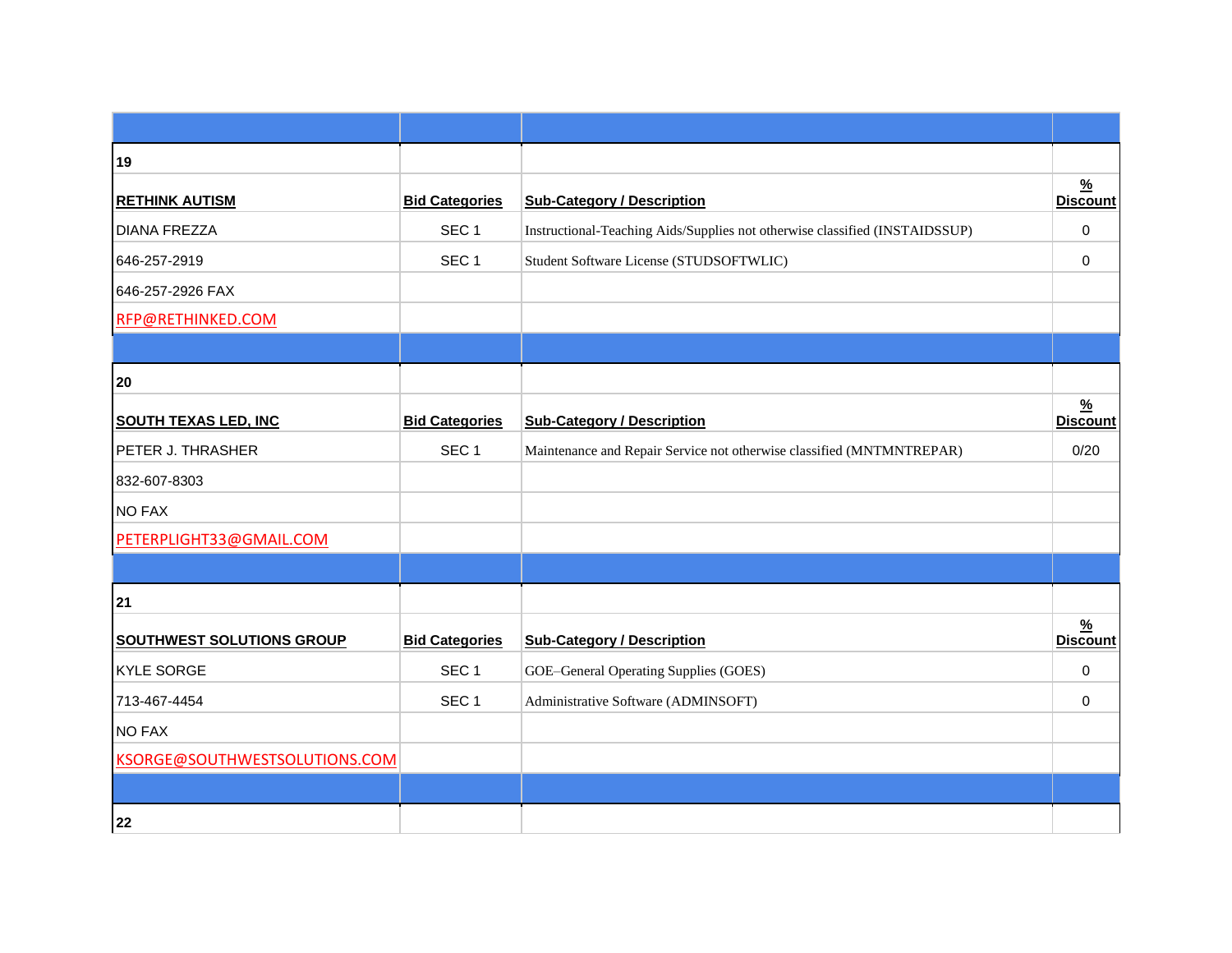| 19                               |                       |                                                                             |                                  |
|----------------------------------|-----------------------|-----------------------------------------------------------------------------|----------------------------------|
| <b>RETHINK AUTISM</b>            | <b>Bid Categories</b> | <b>Sub-Category / Description</b>                                           | $\frac{9}{6}$<br><b>Discount</b> |
| <b>DIANA FREZZA</b>              | SEC <sub>1</sub>      | Instructional-Teaching Aids/Supplies not otherwise classified (INSTAIDSSUP) | 0                                |
| 646-257-2919                     | SEC <sub>1</sub>      | Student Software License (STUDSOFTWLIC)                                     | 0                                |
| 646-257-2926 FAX                 |                       |                                                                             |                                  |
| RFP@RETHINKED.COM                |                       |                                                                             |                                  |
|                                  |                       |                                                                             |                                  |
| 20                               |                       |                                                                             |                                  |
| <b>SOUTH TEXAS LED, INC</b>      | <b>Bid Categories</b> | <b>Sub-Category / Description</b>                                           | $\frac{9}{6}$<br><b>Discount</b> |
| PETER J. THRASHER                | SEC <sub>1</sub>      | Maintenance and Repair Service not otherwise classified (MNTMNTREPAR)       | 0/20                             |
| 832-607-8303                     |                       |                                                                             |                                  |
| <b>NO FAX</b>                    |                       |                                                                             |                                  |
| PETERPLIGHT33@GMAIL.COM          |                       |                                                                             |                                  |
|                                  |                       |                                                                             |                                  |
| 21                               |                       |                                                                             |                                  |
| <b>SOUTHWEST SOLUTIONS GROUP</b> | <b>Bid Categories</b> | <b>Sub-Category / Description</b>                                           | $\frac{9}{6}$<br><b>Discount</b> |
| KYLE SORGE                       | SEC <sub>1</sub>      | GOE-General Operating Supplies (GOES)                                       | $\mathbf 0$                      |
| 713-467-4454                     | SEC <sub>1</sub>      | Administrative Software (ADMINSOFT)                                         | 0                                |
| <b>NO FAX</b>                    |                       |                                                                             |                                  |
| KSORGE@SOUTHWESTSOLUTIONS.COM    |                       |                                                                             |                                  |
|                                  |                       |                                                                             |                                  |
| 22                               |                       |                                                                             |                                  |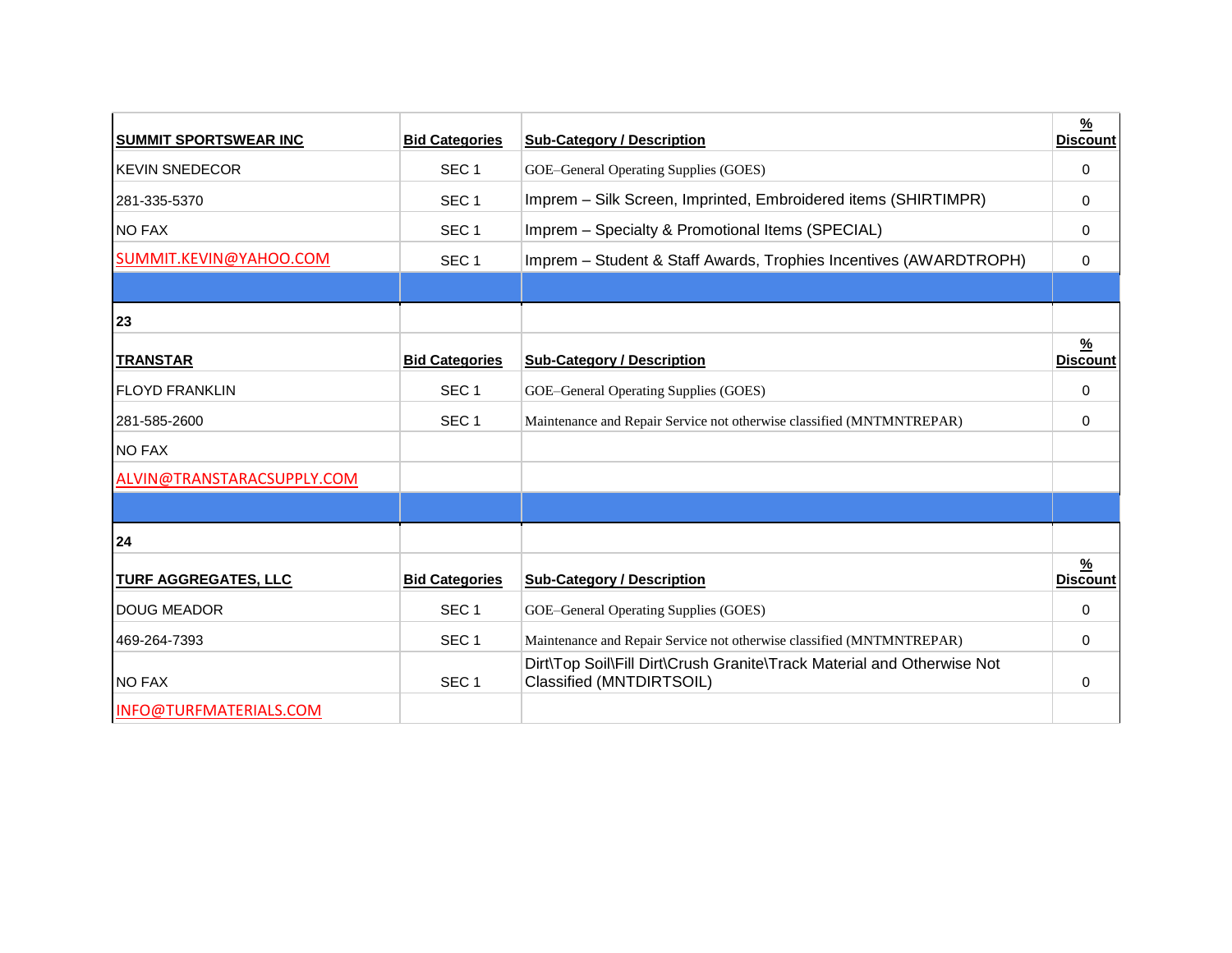| <b>SUMMIT SPORTSWEAR INC</b> | <b>Bid Categories</b> | <b>Sub-Category / Description</b>                                                                  | $\frac{9}{6}$<br><b>Discount</b> |
|------------------------------|-----------------------|----------------------------------------------------------------------------------------------------|----------------------------------|
| <b>KEVIN SNEDECOR</b>        | SEC <sub>1</sub>      | GOE-General Operating Supplies (GOES)                                                              | 0                                |
| 281-335-5370                 | SEC <sub>1</sub>      | Imprem - Silk Screen, Imprinted, Embroidered items (SHIRTIMPR)                                     | 0                                |
| <b>NO FAX</b>                | SEC <sub>1</sub>      | Imprem - Specialty & Promotional Items (SPECIAL)                                                   | 0                                |
| SUMMIT.KEVIN@YAHOO.COM       | SEC <sub>1</sub>      | Imprem - Student & Staff Awards, Trophies Incentives (AWARDTROPH)                                  | 0                                |
|                              |                       |                                                                                                    |                                  |
| 23                           |                       |                                                                                                    |                                  |
| <b>TRANSTAR</b>              | <b>Bid Categories</b> | <b>Sub-Category / Description</b>                                                                  | $\frac{9}{6}$<br><b>Discount</b> |
| <b>FLOYD FRANKLIN</b>        | SEC <sub>1</sub>      | GOE-General Operating Supplies (GOES)                                                              | 0                                |
| 281-585-2600                 | SEC <sub>1</sub>      | Maintenance and Repair Service not otherwise classified (MNTMNTREPAR)                              | 0                                |
| <b>NO FAX</b>                |                       |                                                                                                    |                                  |
| ALVIN@TRANSTARACSUPPLY.COM   |                       |                                                                                                    |                                  |
|                              |                       |                                                                                                    |                                  |
| 24                           |                       |                                                                                                    |                                  |
| <b>TURF AGGREGATES, LLC</b>  | <b>Bid Categories</b> | <b>Sub-Category / Description</b>                                                                  | <u>%</u><br><b>Discount</b>      |
| <b>DOUG MEADOR</b>           | SEC <sub>1</sub>      | GOE-General Operating Supplies (GOES)                                                              | 0                                |
| 469-264-7393                 | SEC <sub>1</sub>      | Maintenance and Repair Service not otherwise classified (MNTMNTREPAR)                              | 0                                |
| <b>NO FAX</b>                | SEC <sub>1</sub>      | Dirt\Top Soil\Fill Dirt\Crush Granite\Track Material and Otherwise Not<br>Classified (MNTDIRTSOIL) | $\Omega$                         |
| INFO@TURFMATERIALS.COM       |                       |                                                                                                    |                                  |